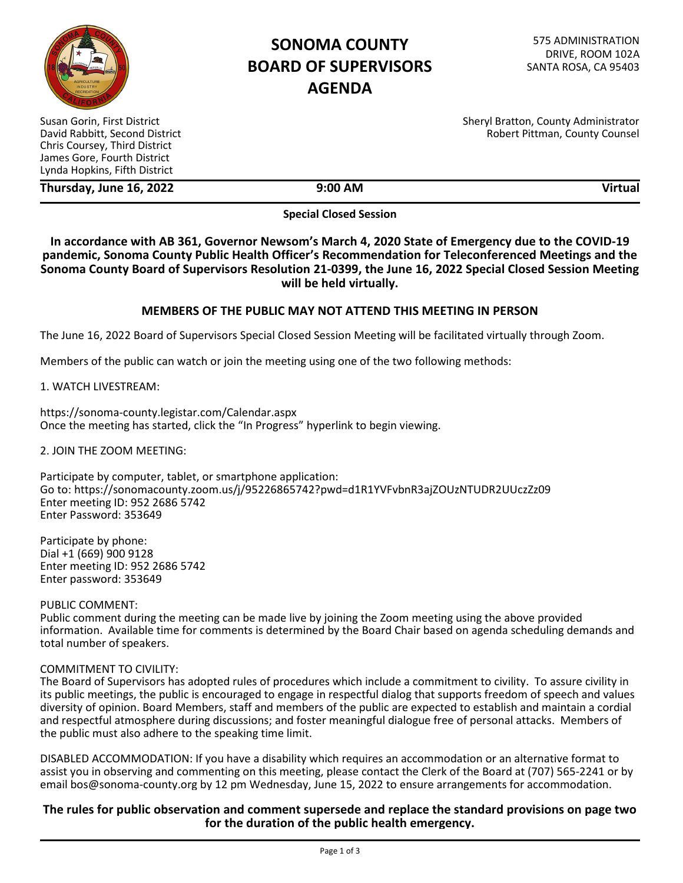

# **SONOMA COUNTY BOARD OF SUPERVISORS AGENDA**

Susan Gorin, First District Sheryl Bratton, County Administrator David Rabbitt, Second District **Robert Pittman, County Counsel** Chris Coursey, Third District James Gore, Fourth District Lynda Hopkins, Fifth District

**Thursday, June 16, 2022 9:00 AM Virtual** 

**Special Closed Session** 

**In accordance with AB 361, Governor Newsom's March 4, 2020 State of Emergency due to the COVID-19 pandemic, Sonoma County Public Health Officer's Recommendation for Teleconferenced Meetings and the Sonoma County Board of Supervisors Resolution 21-0399, the June 16, 2022 Special Closed Session Meeting will be held virtually.** 

#### **MEMBERS OF THE PUBLIC MAY NOT ATTEND THIS MEETING IN PERSON**

The June 16, 2022 Board of Supervisors Special Closed Session Meeting will be facilitated virtually through Zoom.

Members of the public can watch or join the meeting using one of the two following methods:

1. WATCH LIVESTREAM:

<https://sonoma-county.legistar.com/Calendar.aspx> Once the meeting has started, click the "In Progress" hyperlink to begin viewing.

2. JOIN THE ZOOM MEETING:

 Participate by computer, tablet, or smartphone application: Enter meeting ID: 952 2686 5742 Go to:<https://sonomacounty.zoom.us/j/95226865742?pwd=d1R1YVFvbnR3ajZOUzNTUDR2UUczZz09> Enter Password: 353649

 Dial +1 (669) 900 9128 Enter meeting ID: 952 2686 5742 Participate by phone: Enter password: 353649

PUBLIC COMMENT:

 Public comment during the meeting can be made live by joining the Zoom meeting using the above provided information. Available time for comments is determined by the Board Chair based on agenda scheduling demands and total number of speakers.

#### COMMITMENT TO CIVILITY:

 The Board of Supervisors has adopted rules of procedures which include a commitment to civility. To assure civility in and respectful atmosphere during discussions; and foster meaningful dialogue free of personal attacks. Members of the public must also adhere to the speaking time limit. its public meetings, the public is encouraged to engage in respectful dialog that supports freedom of speech and values diversity of opinion. Board Members, staff and members of the public are expected to establish and maintain a cordial

the public must also adhere to the speaking time limit.<br>DISABLED ACCOMMODATION: If you have a disability which requires an accommodation or an alternative format to assist you in observing and commenting on this meeting, please contact the Clerk of the Board at (707) 565-2241 or by email [bos@sonoma-county.org](mailto:bos@sonoma-county.org) by 12 pm Wednesday, June 15, 2022 to ensure arrangements for accommodation.

### **The rules for public observation and comment supersede and replace the standard provisions on page two for the duration of the public health emergency.**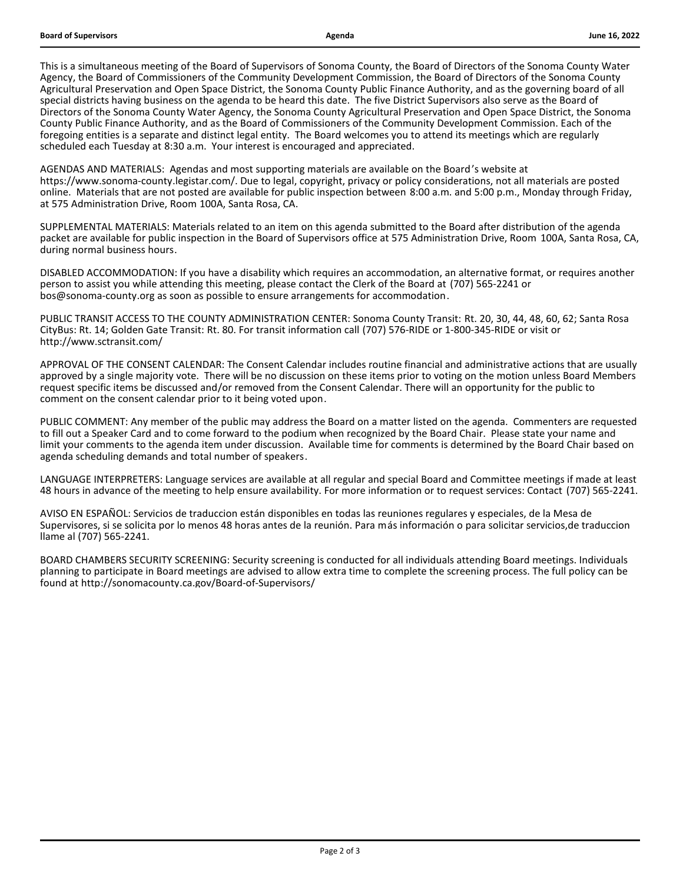This is a simultaneous meeting of the Board of Supervisors of Sonoma County, the Board of Directors of the Sonoma County Water Agency, the Board of Commissioners of the Community Development Commission, the Board of Directors of the Sonoma County Agricultural Preservation and Open Space District, the Sonoma County Public Finance Authority, and as the governing board of all special districts having business on the agenda to be heard this date. The five District Supervisors also serve as the Board of Directors of the Sonoma County Water Agency, the Sonoma County Agricultural Preservation and Open Space District, the Sonoma County Public Finance Authority, and as the Board of Commissioners of the Community Development Commission. Each of the foregoing entities is a separate and distinct legal entity. The Board welcomes you to attend its meetings which are regularly scheduled each Tuesday at 8:30 a.m. Your interest is encouraged and appreciated.

 AGENDAS AND MATERIALS: Agendas and most supporting materials are available on the Board 's website at [https://www.sonoma-county.legistar.com/](https://www.sonoma-county.legistar.com). Due to legal, copyright, privacy or policy considerations, not all materials are posted online. Materials that are not posted are available for public inspection between 8:00 a.m. and 5:00 p.m., Monday through Friday, at 575 Administration Drive, Room 100A, Santa Rosa, CA.

 SUPPLEMENTAL MATERIALS: Materials related to an item on this agenda submitted to the Board after distribution of the agenda packet are available for public inspection in the Board of Supervisors office at 575 Administration Drive, Room 100A, Santa Rosa, CA, during normal business hours.

 DISABLED ACCOMMODATION: If you have a disability which requires an accommodation, an alternative format, or requires another person to assist you while attending this meeting, please contact the Clerk of the Board at (707) 565-2241 or [bos@sonoma-county.org](mailto:bos@sonoma-county.org) as soon as possible to ensure arrangements for accommodation.

 PUBLIC TRANSIT ACCESS TO THE COUNTY ADMINISTRATION CENTER: Sonoma County Transit: Rt. 20, 30, 44, 48, 60, 62; Santa Rosa CityBus: Rt. 14; Golden Gate Transit: Rt. 80. For transit information call (707) 576-RIDE or 1-800-345-RIDE or visit or [http://www.sctransit.com/](http://www.sctransit.com)

 APPROVAL OF THE CONSENT CALENDAR: The Consent Calendar includes routine financial and administrative actions that are usually approved by a single majority vote. There will be no discussion on these items prior to voting on the motion unless Board Members request specific items be discussed and/or removed from the Consent Calendar. There will an opportunity for the public to comment on the consent calendar prior to it being voted upon.

 PUBLIC COMMENT: Any member of the public may address the Board on a matter listed on the agenda. Commenters are requested to fill out a Speaker Card and to come forward to the podium when recognized by the Board Chair. Please state your name and limit your comments to the agenda item under discussion. Available time for comments is determined by the Board Chair based on agenda scheduling demands and total number of speakers.

 LANGUAGE INTERPRETERS: Language services are available at all regular and special Board and Committee meetings if made at least 48 hours in advance of the meeting to help ensure availability. For more information or to request services: Contact (707) 565-2241.

 AVISO EN ESPAÑOL: Servicios de traduccion están disponibles en todas las reuniones regulares y especiales, de la Mesa de Supervisores, si se solicita por lo menos 48 horas antes de la reunión. Para más información o para solicitar servicios,de traduccion llame al (707) 565-2241.

 BOARD CHAMBERS SECURITY SCREENING: Security screening is conducted for all individuals attending Board meetings. Individuals planning to participate in Board meetings are advised to allow extra time to complete the screening process. The full policy can be found at [http://sonomacounty.ca.gov/Board-of-Supervisors/](http://sonomacounty.ca.gov/Board-of-Supervisors)